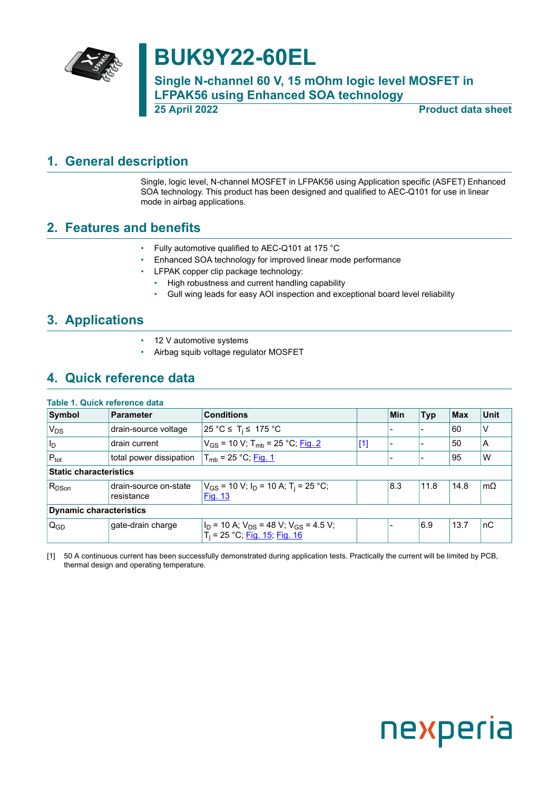

# **BUK9Y22-60EL**

**Single N-channel 60 V, 15 mOhm logic level MOSFET in LFPAK56 using Enhanced SOA technology 25 April 2022 Product data sheet**

# <span id="page-0-1"></span>**1. General description**

<span id="page-0-0"></span>Single, logic level, N-channel MOSFET in LFPAK56 using Application specific (ASFET) Enhanced SOA technology. This product has been designed and qualified to AEC-Q101 for use in linear mode in airbag applications.

## <span id="page-0-2"></span>**2. Features and benefits**

- Fully automotive qualified to AEC-Q101 at 175 °C
- Enhanced SOA technology for improved linear mode performance
- LFPAK copper clip package technology:
	- High robustness and current handling capability
	- Gull wing leads for easy AOI inspection and exceptional board level reliability

### <span id="page-0-3"></span>**3. Applications**

- 12 V automotive systems
- Airbag squib voltage regulator MOSFET

# <span id="page-0-4"></span>**4. Quick reference data**

#### **Table 1. Quick reference data**

| Symbol                        | <b>Parameter</b>                    | <b>Conditions</b>                                                                           |       | Min | <b>Typ</b> | Max  | <b>Unit</b> |
|-------------------------------|-------------------------------------|---------------------------------------------------------------------------------------------|-------|-----|------------|------|-------------|
| <b>V<sub>DS</sub></b>         | drain-source voltage                | 25 °C ≤ T <sub>i</sub> ≤ 175 °C                                                             |       |     |            | 60   | V           |
| $ I_D $                       | drain current                       | $V_{GS}$ = 10 V; T <sub>mb</sub> = 25 °C; Fig. 2                                            | $[1]$ |     |            | 50   | A           |
| $P_{\text{tot}}$              | total power dissipation             | $T_{mb}$ = 25 °C; Fig. 1                                                                    |       |     |            | 95   | W           |
| <b>Static characteristics</b> |                                     |                                                                                             |       |     |            |      |             |
| $R_{DSon}$                    | drain-source on-state<br>resistance | $V_{GS}$ = 10 V; $I_D$ = 10 A; T <sub>i</sub> = 25 °C;<br><b>Fig. 13</b>                    |       | 8.3 | 11.8       | 14.8 | $m\Omega$   |
|                               | <b>Dynamic characteristics</b>      |                                                                                             |       |     |            |      |             |
| $Q_{GD}$                      | gate-drain charge                   | $I_D$ = 10 A; $V_{DS}$ = 48 V; V <sub>GS</sub> = 4.5 V;<br>$T_i = 25 °C$ ; Fig. 15; Fig. 16 |       |     | 6.9        | 13.7 | nC          |

[1] 50 A continuous current has been successfully demonstrated during application tests. Practically the current will be limited by PCB, thermal design and operating temperature.

# nexperia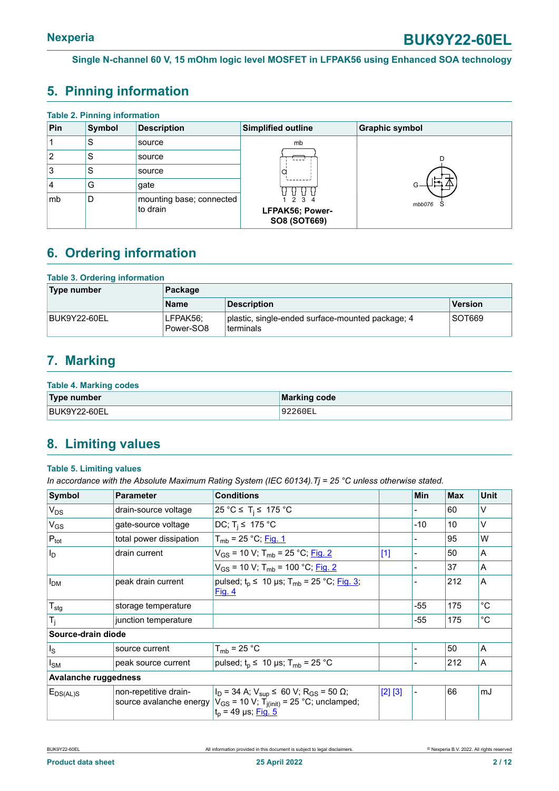# <span id="page-1-0"></span>**5. Pinning information**

| <b>Table 2. Pinning information</b> |        |                                      |                                          |                       |  |  |  |
|-------------------------------------|--------|--------------------------------------|------------------------------------------|-----------------------|--|--|--|
| Pin                                 | Symbol | <b>Description</b>                   | Simplified outline                       | <b>Graphic symbol</b> |  |  |  |
|                                     | S      | source                               | mb                                       |                       |  |  |  |
| 2                                   | S      | source                               |                                          |                       |  |  |  |
| 3                                   | S      | source                               | a                                        |                       |  |  |  |
| 4                                   | G      | gate                                 |                                          |                       |  |  |  |
| mb                                  | D      | mounting base; connected<br>to drain | 2 3 4<br>LFPAK56; Power-<br>SO8 (SOT669) | mbb076                |  |  |  |

# <span id="page-1-1"></span>**6. Ordering information**

#### **Table 3. Ordering information**

| Type number  | Package               |                                                               |         |  |  |
|--------------|-----------------------|---------------------------------------------------------------|---------|--|--|
|              | <b>Name</b>           | <b>Description</b>                                            | Version |  |  |
| BUK9Y22-60EL | LFPAK56:<br>Power-SO8 | plastic, single-ended surface-mounted package; 4<br>terminals | SOT669  |  |  |

# <span id="page-1-2"></span>**7. Marking**

| <b>Table 4. Marking codes</b> |                     |  |  |  |
|-------------------------------|---------------------|--|--|--|
| Type number                   | <b>Marking code</b> |  |  |  |
| BUK9Y22-60EL                  | 92260EL             |  |  |  |

# <span id="page-1-3"></span>**8. Limiting values**

#### **Table 5. Limiting values**

*In accordance with the Absolute Maximum Rating System (IEC 60134).Tj = 25 °C unless otherwise stated.*

| Symbol                      | <b>Parameter</b>                                 | <b>Conditions</b>                                                                                                                                         |         | <b>Min</b> | Max | <b>Unit</b> |
|-----------------------------|--------------------------------------------------|-----------------------------------------------------------------------------------------------------------------------------------------------------------|---------|------------|-----|-------------|
| $V_{DS}$                    | drain-source voltage                             | 25 °C ≤ T <sub>i</sub> ≤ 175 °C                                                                                                                           |         |            | 60  | v           |
| $V_{GS}$                    | gate-source voltage                              | DC; $T_i \leq 175$ °C                                                                                                                                     |         | $-10$      | 10  | V           |
| $P_{\text{tot}}$            | total power dissipation                          | $T_{mb}$ = 25 °C; Fig. 1                                                                                                                                  |         |            | 95  | W           |
| $ I_D $                     | drain current                                    | $V_{GS}$ = 10 V; T <sub>mb</sub> = 25 °C; Fig. 2                                                                                                          | $[1]$   |            | 50  | A           |
|                             |                                                  | $V_{GS}$ = 10 V; T <sub>mb</sub> = 100 °C; Fig. 2                                                                                                         |         |            | 37  | A           |
| I <sub>DM</sub>             | peak drain current                               | pulsed; $t_p$ ≤ 10 µs; T <sub>mb</sub> = 25 °C; Fig. 3;<br><u>Fig. 4</u>                                                                                  |         |            | 212 | A           |
| $T_{\text{stg}}$            | storage temperature                              |                                                                                                                                                           |         | $-55$      | 175 | $^{\circ}C$ |
| $T_i$                       | junction temperature                             |                                                                                                                                                           |         | $-55$      | 175 | $^{\circ}C$ |
| Source-drain diode          |                                                  |                                                                                                                                                           |         |            |     |             |
| $\vert$ <sub>s</sub>        | source current                                   | $T_{mb}$ = 25 °C                                                                                                                                          |         |            | 50  | A           |
| $I_{\text{SM}}$             | peak source current                              | pulsed; $t_p \leq 10 \text{ }\mu\text{s}$ ; T <sub>mb</sub> = 25 °C                                                                                       |         |            | 212 | A           |
| <b>Avalanche ruggedness</b> |                                                  |                                                                                                                                                           |         |            |     |             |
| $E_{DS(AL)S}$               | non-repetitive drain-<br>source avalanche energy | $I_D$ = 34 A; $V_{\text{sup}}$ ≤ 60 V; R <sub>GS</sub> = 50 Ω;<br>$V_{GS}$ = 10 V; T <sub>j(init)</sub> = 25 °C; unclamped;<br>$t_p = 49 \,\mu s;$ Fig. 5 | [2] [3] |            | 66  | mJ          |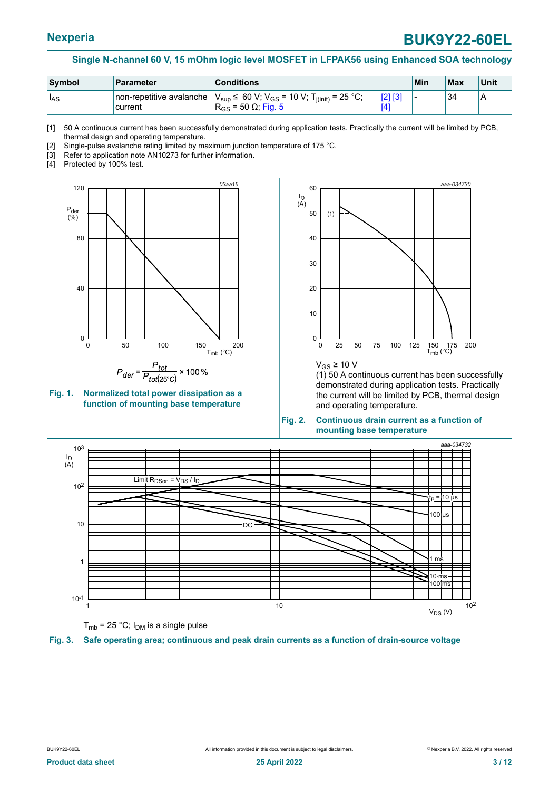<span id="page-2-2"></span>

| Symbol            | <b>Parameter</b>                     | <b>Conditions</b>                                                                                         | Min | Max | <b>Unit</b> |
|-------------------|--------------------------------------|-----------------------------------------------------------------------------------------------------------|-----|-----|-------------|
| ' I <sub>AS</sub> | non-repetitive avalanche<br>'current | $V_{\text{sup}}$ ≤ 60 V; V <sub>GS</sub> = 10 V; T <sub>j(init)</sub> = 25 °C;<br>$R_{GS}$ = 50 Ω; Fig. 5 |     | 34  | ΙA          |

[1] 50 A continuous current has been successfully demonstrated during application tests. Practically the current will be limited by PCB, thermal design and operating temperature.

[2] Single-pulse avalanche rating limited by maximum junction temperature of 175 °C.

- [3] Refer to application note AN10273 for further information.
- [4] Protected by 100% test.

<span id="page-2-1"></span>



<span id="page-2-0"></span>

 $V$ <sub>GS</sub> ≥ 10 V

(1) 50 A continuous current has been successfully demonstrated during application tests. Practically the current will be limited by PCB, thermal design and operating temperature.

#### **Fig. 2. Continuous drain current as a function of mounting base temperature**

<span id="page-2-3"></span>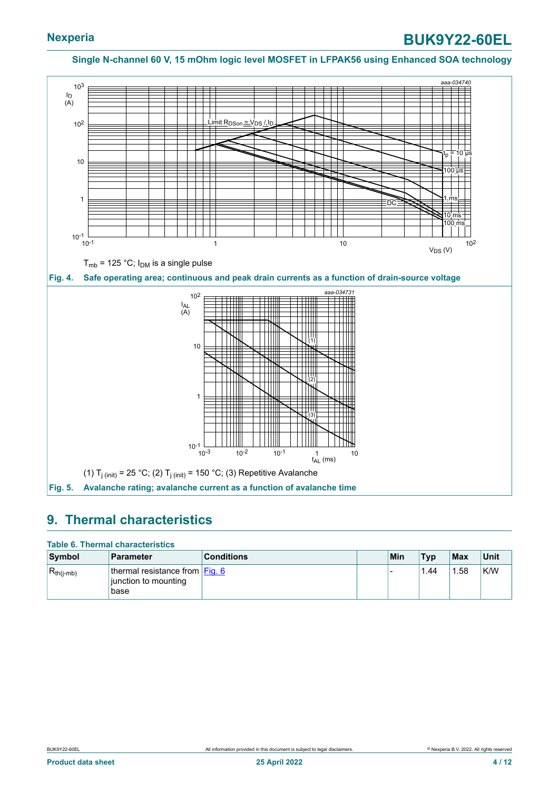<span id="page-3-1"></span><span id="page-3-0"></span>

#### <span id="page-3-2"></span>**9. Thermal characteristics**

#### **Table 6. Thermal characteristics**

| Symbol           | <b>Parameter</b>                                                 | <b>Conditions</b> | Min | <b>Typ</b> | Max  | Unit |
|------------------|------------------------------------------------------------------|-------------------|-----|------------|------|------|
| $ R_{th(j-mb)} $ | thermal resistance from $Eig. 6$<br>junction to mounting<br>base |                   |     | .44        | 1.58 | K/W  |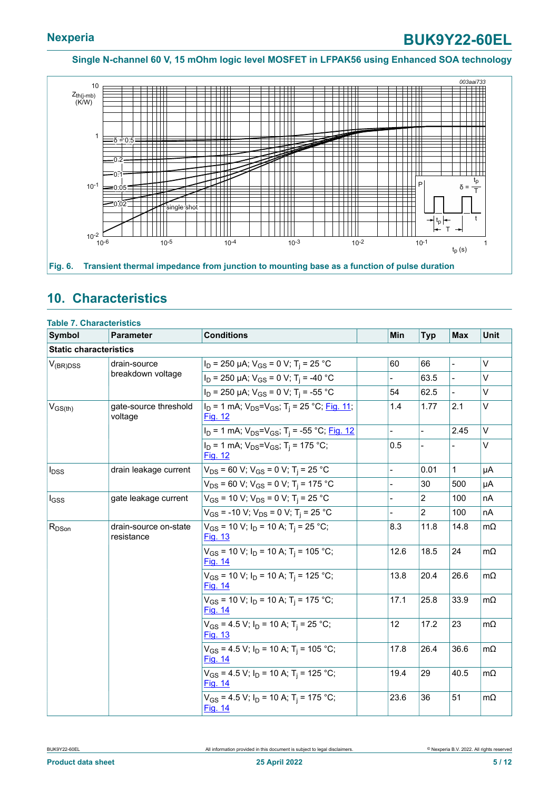<span id="page-4-0"></span>

## <span id="page-4-1"></span>**10. Characteristics**

| Symbol                        | <b>Parameter</b>                    | <b>Conditions</b>                                                                    | Min            | <b>Typ</b>     | <b>Max</b>    | Unit      |
|-------------------------------|-------------------------------------|--------------------------------------------------------------------------------------|----------------|----------------|---------------|-----------|
| <b>Static characteristics</b> |                                     |                                                                                      |                |                |               |           |
| $V_{(BR)DSS}$                 | drain-source                        | $I_D$ = 250 µA; $V_{GS}$ = 0 V; T <sub>i</sub> = 25 °C                               | 60             | 66             | $\frac{1}{2}$ | V         |
|                               | breakdown voltage                   | $I_D$ = 250 µA; $V_{GS}$ = 0 V; T <sub>i</sub> = -40 °C                              |                | 63.5           |               | V         |
|                               |                                     | $I_D$ = 250 µA; $V_{GS}$ = 0 V; T <sub>i</sub> = -55 °C                              | 54             | 62.5           |               | V         |
| $V_{GS(th)}$                  | gate-source threshold<br>voltage    | $I_D$ = 1 mA; $V_{DS} = V_{GS}$ ; T <sub>i</sub> = 25 °C; Fig. 11;<br><b>Fig. 12</b> | 1.4            | 1.77           | 2.1           | V         |
|                               |                                     | $I_D$ = 1 mA; $V_{DS} = V_{GS}$ ; T <sub>i</sub> = -55 °C; Fig. 12                   |                |                | 2.45          | $\vee$    |
|                               |                                     | $I_D = 1$ mA; $V_{DS} = V_{GS}$ ; T <sub>i</sub> = 175 °C;<br>Fig. 12                | 0.5            |                |               | V         |
| $I_{DSS}$                     | drain leakage current               | $V_{DS}$ = 60 V; V <sub>GS</sub> = 0 V; T <sub>i</sub> = 25 °C                       | $\overline{a}$ | 0.01           | $\mathbf{1}$  | μA        |
|                               |                                     | $V_{DS}$ = 60 V; V <sub>GS</sub> = 0 V; T <sub>j</sub> = 175 °C                      |                | 30             | 500           | μA        |
| $I_{GSS}$                     | gate leakage current                | $V_{GS}$ = 10 V; $V_{DS}$ = 0 V; T <sub>i</sub> = 25 °C                              |                | 2              | 100           | nA        |
|                               |                                     | $V_{GS}$ = -10 V; $V_{DS}$ = 0 V; T <sub>i</sub> = 25 °C                             |                | $\overline{2}$ | 100           | nA        |
| $R_{DSon}$                    | drain-source on-state<br>resistance | $V_{GS}$ = 10 V; $I_D$ = 10 A; T <sub>i</sub> = 25 °C;<br><b>Fig. 13</b>             | 8.3            | 11.8           | 14.8          | $m\Omega$ |
|                               |                                     | $V_{GS}$ = 10 V; $I_D$ = 10 A; T <sub>i</sub> = 105 °C;<br>Fig. 14                   | 12.6           | 18.5           | 24            | $m\Omega$ |
|                               |                                     | $V_{GS}$ = 10 V; $I_D$ = 10 A; T <sub>i</sub> = 125 °C;<br><b>Fig. 14</b>            | 13.8           | 20.4           | 26.6          | $m\Omega$ |
|                               |                                     | $V_{GS}$ = 10 V; I <sub>D</sub> = 10 A; T <sub>i</sub> = 175 °C;<br>Fig. 14          | 17.1           | 25.8           | 33.9          | $m\Omega$ |
|                               |                                     | $V_{GS}$ = 4.5 V; $I_D$ = 10 A; T <sub>i</sub> = 25 °C;<br><b>Fig. 13</b>            | 12             | 17.2           | 23            | $m\Omega$ |
|                               |                                     | $V_{GS}$ = 4.5 V; $I_D$ = 10 A; T <sub>i</sub> = 105 °C;<br><b>Fig. 14</b>           | 17.8           | 26.4           | 36.6          | $m\Omega$ |
|                               |                                     | $V_{GS}$ = 4.5 V; $I_D$ = 10 A; T <sub>i</sub> = 125 °C;<br>Fig. 14                  | 19.4           | 29             | 40.5          | $m\Omega$ |
|                               |                                     | $V_{GS}$ = 4.5 V; $I_D$ = 10 A; T <sub>i</sub> = 175 °C;<br>Fig. 14                  | 23.6           | 36             | 51            | $m\Omega$ |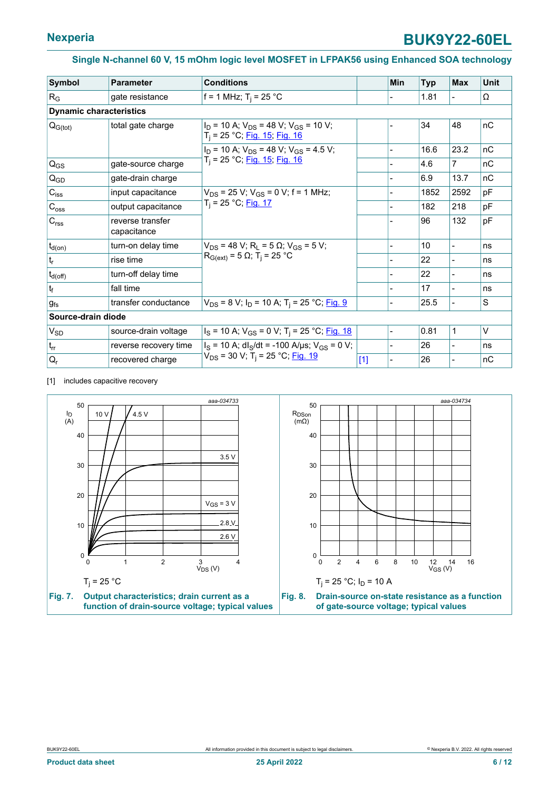<span id="page-5-0"></span>

| <b>Symbol</b>                  | <b>Parameter</b>                | <b>Conditions</b>                                                                            |       | Min | <b>Typ</b> | <b>Max</b>     | <b>Unit</b> |
|--------------------------------|---------------------------------|----------------------------------------------------------------------------------------------|-------|-----|------------|----------------|-------------|
| $R_G$                          | gate resistance                 | f = 1 MHz; $T_i$ = 25 °C                                                                     |       |     | 1.81       |                | Ω           |
| <b>Dynamic characteristics</b> |                                 |                                                                                              |       |     |            |                |             |
| $Q_{G(tot)}$                   | total gate charge               | $I_D$ = 10 A; $V_{DS}$ = 48 V; $V_{GS}$ = 10 V;<br>$T_i$ = 25 °C; Fig. 15; Fig. 16           |       |     | 34         | 48             | nC          |
|                                |                                 | $I_D$ = 10 A; $V_{DS}$ = 48 V; $V_{GS}$ = 4.5 V;                                             |       |     | 16.6       | 23.2           | nC          |
| $Q_{GS}$                       | gate-source charge              | $T_i$ = 25 °C; Fig. 15; Fig. 16                                                              |       |     | 4.6        | 7              | nC          |
| Q <sub>GD</sub>                | gate-drain charge               |                                                                                              |       |     | 6.9        | 13.7           | nC          |
| $C_{iss}$                      | input capacitance               | $V_{DS}$ = 25 V; V <sub>GS</sub> = 0 V; f = 1 MHz;<br>T <sub>i</sub> = 25 °C; <u>Fig. 17</u> |       |     | 1852       | 2592           | pF          |
| $C_{\rm oss}$                  | output capacitance              |                                                                                              |       |     | 182        | 218            | pF          |
| $C_{\text{rss}}$               | reverse transfer<br>capacitance |                                                                                              |       |     | 96         | 132            | pF          |
| $t_{d(on)}$                    | turn-on delay time              | $V_{DS}$ = 48 V; R <sub>L</sub> = 5 $\Omega$ ; V <sub>GS</sub> = 5 V;                        |       |     | 10         | $\blacksquare$ | ns          |
| $t_r$                          | rise time                       | $R_{G(ext)} = 5 \Omega$ ; T <sub>i</sub> = 25 °C                                             |       |     | 22         |                | ns          |
| $t_{d(off)}$                   | turn-off delay time             |                                                                                              |       |     | 22         |                | ns          |
| $ t_f $                        | fall time                       |                                                                                              |       |     | 17         | $\overline{a}$ | ns          |
| $g_{fs}$                       | transfer conductance            | $V_{DS}$ = 8 V; I <sub>D</sub> = 10 A; T <sub>i</sub> = 25 °C; <u>Fig. 9</u>                 |       |     | 25.5       | $\overline{a}$ | S           |
|                                | Source-drain diode              |                                                                                              |       |     |            |                |             |
| $V_{SD}$                       | source-drain voltage            | $I_S$ = 10 A; $V_{GS}$ = 0 V; T <sub>i</sub> = 25 °C; Fig. 18                                |       |     | 0.81       | 1              | $\vee$      |
| $t_{rr}$                       | reverse recovery time           | $I_s$ = 10 A; dl <sub>S</sub> /dt = -100 A/µs; $V_{GS}$ = 0 V;                               |       |     | 26         |                | ns          |
| $Q_r$                          | recovered charge                | $V_{DS}$ = 30 V; T <sub>i</sub> = 25 °C; Fig. 19                                             | $[1]$ |     | 26         |                | nC          |

[1] includes capacitive recovery

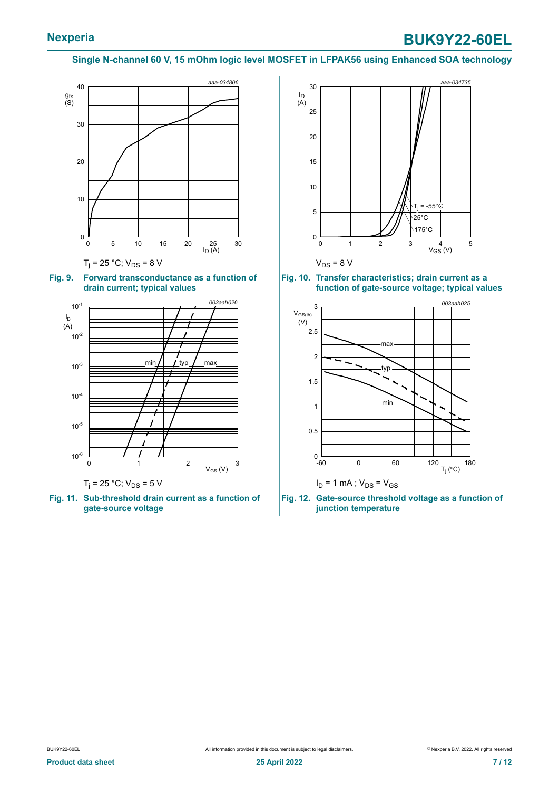<span id="page-6-2"></span><span id="page-6-1"></span><span id="page-6-0"></span>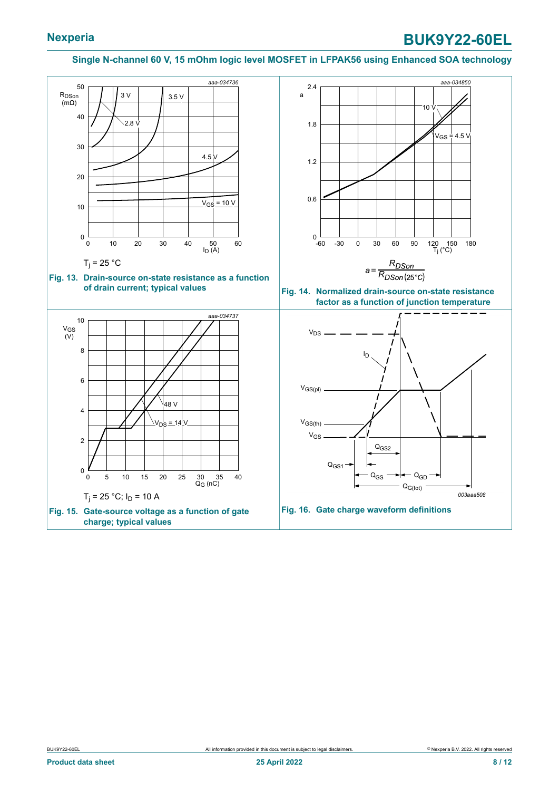# **Nexperia BUK9Y22-60EL**

#### <span id="page-7-3"></span><span id="page-7-2"></span>**Single N-channel 60 V, 15 mOhm logic level MOSFET in LFPAK56 using Enhanced SOA technology**

<span id="page-7-1"></span><span id="page-7-0"></span>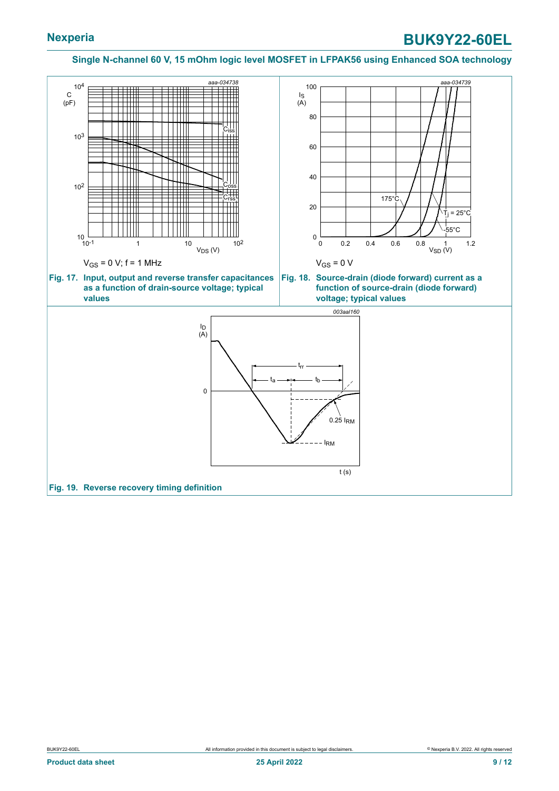<span id="page-8-2"></span><span id="page-8-1"></span><span id="page-8-0"></span>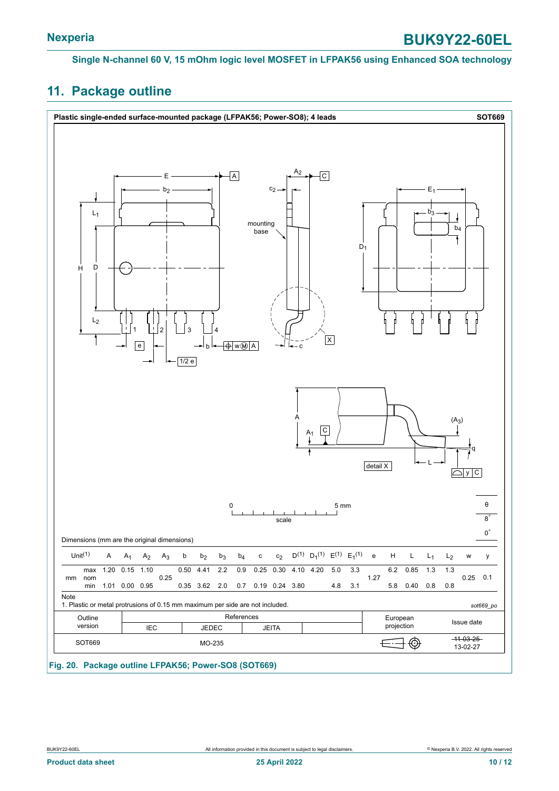# <span id="page-9-0"></span>**11. Package outline**

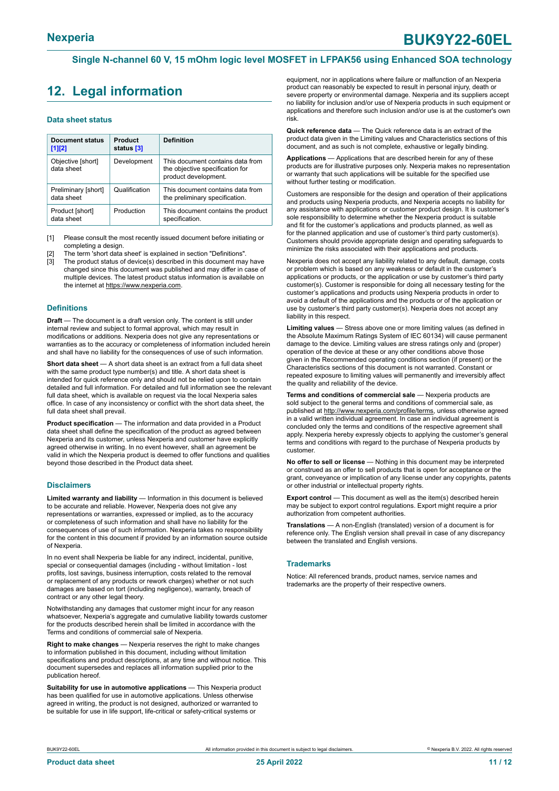# <span id="page-10-0"></span>**12. Legal information**

#### **Data sheet status**

| <b>Document status</b><br>$[1]$ [2] | Product<br>status [3] | <b>Definition</b>                                                                           |
|-------------------------------------|-----------------------|---------------------------------------------------------------------------------------------|
| Objective [short]<br>data sheet     | Development           | This document contains data from<br>the objective specification for<br>product development. |
| Preliminary [short]<br>data sheet   | Qualification         | This document contains data from<br>the preliminary specification.                          |
| Product [short]<br>data sheet       | Production            | This document contains the product<br>specification.                                        |

[1] Please consult the most recently issued document before initiating or completing a design.

The term 'short data sheet' is explained in section "Definitions".

[3] The product status of device(s) described in this document may have changed since this document was published and may differ in case of multiple devices. The latest product status information is available on the internet at [https://www.nexperia.com.](https://www.nexperia.com)

#### **Definitions**

**Draft** — The document is a draft version only. The content is still under internal review and subject to formal approval, which may result in modifications or additions. Nexperia does not give any representations or warranties as to the accuracy or completeness of information included herein and shall have no liability for the consequences of use of such information.

**Short data sheet** — A short data sheet is an extract from a full data sheet with the same product type number(s) and title. A short data sheet is intended for quick reference only and should not be relied upon to contain detailed and full information. For detailed and full information see the relevant full data sheet, which is available on request via the local Nexperia sales office. In case of any inconsistency or conflict with the short data sheet, the full data sheet shall prevail.

**Product specification** — The information and data provided in a Product data sheet shall define the specification of the product as agreed between Nexperia and its customer, unless Nexperia and customer have explicitly agreed otherwise in writing. In no event however, shall an agreement be valid in which the Nexperia product is deemed to offer functions and qualities beyond those described in the Product data sheet.

#### **Disclaimers**

**Limited warranty and liability** — Information in this document is believed to be accurate and reliable. However, Nexperia does not give any representations or warranties, expressed or implied, as to the accuracy or completeness of such information and shall have no liability for the consequences of use of such information. Nexperia takes no responsibility for the content in this document if provided by an information source outside of Nexperia.

In no event shall Nexperia be liable for any indirect, incidental, punitive, special or consequential damages (including - without limitation - lost profits, lost savings, business interruption, costs related to the removal or replacement of any products or rework charges) whether or not such damages are based on tort (including negligence), warranty, breach of contract or any other legal theory.

Notwithstanding any damages that customer might incur for any reason whatsoever, Nexperia's aggregate and cumulative liability towards customer for the products described herein shall be limited in accordance with the Terms and conditions of commercial sale of Nexperia.

**Right to make changes** — Nexperia reserves the right to make changes to information published in this document, including without limitation specifications and product descriptions, at any time and without notice. This document supersedes and replaces all information supplied prior to the publication hereof

**Suitability for use in automotive applications** — This Nexperia product has been qualified for use in automotive applications. Unless otherwise agreed in writing, the product is not designed, authorized or warranted to be suitable for use in life support, life-critical or safety-critical systems or

equipment, nor in applications where failure or malfunction of an Nexperia product can reasonably be expected to result in personal injury, death or severe property or environmental damage. Nexperia and its suppliers accept no liability for inclusion and/or use of Nexperia products in such equipment or applications and therefore such inclusion and/or use is at the customer's own risk.

**Quick reference data** — The Quick reference data is an extract of the product data given in the Limiting values and Characteristics sections of this document, and as such is not complete, exhaustive or legally binding.

**Applications** — Applications that are described herein for any of these products are for illustrative purposes only. Nexperia makes no representation or warranty that such applications will be suitable for the specified use without further testing or modification.

Customers are responsible for the design and operation of their applications and products using Nexperia products, and Nexperia accepts no liability for any assistance with applications or customer product design. It is customer's sole responsibility to determine whether the Nexperia product is suitable and fit for the customer's applications and products planned, as well as for the planned application and use of customer's third party customer(s). Customers should provide appropriate design and operating safeguards to minimize the risks associated with their applications and products.

Nexperia does not accept any liability related to any default, damage, costs or problem which is based on any weakness or default in the customer's applications or products, or the application or use by customer's third party customer(s). Customer is responsible for doing all necessary testing for the customer's applications and products using Nexperia products in order to avoid a default of the applications and the products or of the application or use by customer's third party customer(s). Nexperia does not accept any liability in this respect.

**Limiting values** — Stress above one or more limiting values (as defined in the Absolute Maximum Ratings System of IEC 60134) will cause permanent damage to the device. Limiting values are stress ratings only and (proper) operation of the device at these or any other conditions above those given in the Recommended operating conditions section (if present) or the Characteristics sections of this document is not warranted. Constant or repeated exposure to limiting values will permanently and irreversibly affect the quality and reliability of the device.

**Terms and conditions of commercial sale** — Nexperia products are sold subject to the general terms and conditions of commercial sale, as published at [http://www.nexperia.com/profile/terms,](http://www.nexperia.com/profile/terms) unless otherwise agreed in a valid written individual agreement. In case an individual agreement is concluded only the terms and conditions of the respective agreement shall apply. Nexperia hereby expressly objects to applying the customer's general terms and conditions with regard to the purchase of Nexperia products by customer.

**No offer to sell or license** — Nothing in this document may be interpreted or construed as an offer to sell products that is open for acceptance or the grant, conveyance or implication of any license under any copyrights, patents or other industrial or intellectual property rights.

**Export control** — This document as well as the item(s) described herein may be subject to export control regulations. Export might require a prior authorization from competent authorities.

**Translations** — A non-English (translated) version of a document is for reference only. The English version shall prevail in case of any discrepancy between the translated and English versions.

#### **Trademarks**

Notice: All referenced brands, product names, service names and trademarks are the property of their respective owners.